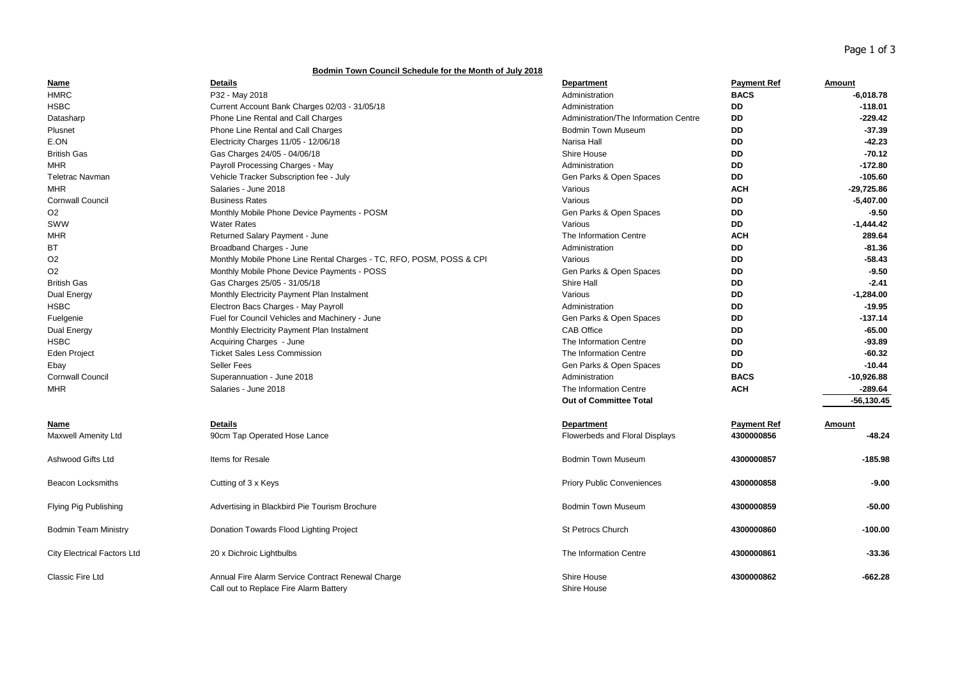Page 1 of 3

## **Bodmin Town Council Schedule for the Month of July 2018**

| <b>Name</b>                        | <b>Details</b>                                                                              | <b>Department</b>                     | <b>Payment Ref</b> | Amount        |
|------------------------------------|---------------------------------------------------------------------------------------------|---------------------------------------|--------------------|---------------|
| <b>HMRC</b>                        | P32 - May 2018                                                                              | Administration                        | <b>BACS</b>        | -6,018.78     |
| <b>HSBC</b>                        | Current Account Bank Charges 02/03 - 31/05/18                                               | Administration                        | DD                 | $-118.01$     |
| Datasharp                          | Phone Line Rental and Call Charges                                                          | Administration/The Information Centre | DD                 | -229.42       |
| Plusnet                            | Phone Line Rental and Call Charges                                                          | <b>Bodmin Town Museum</b>             | <b>DD</b>          | $-37.39$      |
| E.ON                               | Electricity Charges 11/05 - 12/06/18                                                        | Narisa Hall                           | DD                 | $-42.23$      |
| <b>British Gas</b>                 | Gas Charges 24/05 - 04/06/18                                                                | Shire House                           | DD                 | $-70.12$      |
| <b>MHR</b>                         | Payroll Processing Charges - May                                                            | Administration                        | DD                 | $-172.80$     |
| <b>Teletrac Navman</b>             | Vehicle Tracker Subscription fee - July                                                     | Gen Parks & Open Spaces               | DD                 | $-105.60$     |
| <b>MHR</b>                         | Salaries - June 2018                                                                        | Various                               | <b>ACH</b>         | $-29,725.86$  |
| <b>Cornwall Council</b>            | <b>Business Rates</b>                                                                       | Various                               | DD                 | $-5,407.00$   |
| O <sub>2</sub>                     | Monthly Mobile Phone Device Payments - POSM                                                 | Gen Parks & Open Spaces               | DD                 | $-9.50$       |
| SWW                                | <b>Water Rates</b>                                                                          | Various                               | DD.                | $-1,444.42$   |
| <b>MHR</b>                         | Returned Salary Payment - June                                                              | The Information Centre                | <b>ACH</b>         | 289.64        |
| ВT                                 | Broadband Charges - June                                                                    | Administration                        | DD                 | $-81.36$      |
| O <sub>2</sub>                     | Monthly Mobile Phone Line Rental Charges - TC, RFO, POSM, POSS & CPI                        | Various                               | DD                 | -58.43        |
| O <sub>2</sub>                     | Monthly Mobile Phone Device Payments - POSS                                                 | Gen Parks & Open Spaces               | DD                 | $-9.50$       |
| <b>British Gas</b>                 | Gas Charges 25/05 - 31/05/18                                                                | Shire Hall                            | DD                 | $-2.41$       |
| Dual Energy                        | Monthly Electricity Payment Plan Instalment                                                 | Various                               | DD                 | $-1,284.00$   |
| <b>HSBC</b>                        | Electron Bacs Charges - May Payroll                                                         | Administration                        | DD                 | $-19.95$      |
| Fuelgenie                          | Fuel for Council Vehicles and Machinery - June                                              | Gen Parks & Open Spaces               | DD                 | $-137.14$     |
| Dual Energy                        | Monthly Electricity Payment Plan Instalment                                                 | <b>CAB Office</b>                     | DD                 | $-65.00$      |
| <b>HSBC</b>                        | Acquiring Charges - June                                                                    | The Information Centre                | DD                 | $-93.89$      |
| Eden Project                       | <b>Ticket Sales Less Commission</b>                                                         | The Information Centre                | DD                 | $-60.32$      |
| Ebay                               | <b>Seller Fees</b>                                                                          | Gen Parks & Open Spaces               | DD                 | $-10.44$      |
| <b>Cornwall Council</b>            | Superannuation - June 2018                                                                  | Administration                        | <b>BACS</b>        | -10,926.88    |
| <b>MHR</b>                         | Salaries - June 2018                                                                        | The Information Centre                | <b>ACH</b>         | -289.64       |
|                                    |                                                                                             | <b>Out of Committee Total</b>         |                    | $-56, 130.45$ |
| Name                               | <b>Details</b>                                                                              | <b>Department</b>                     | <b>Payment Ref</b> | Amount        |
| <b>Maxwell Amenity Ltd</b>         | 90cm Tap Operated Hose Lance                                                                | Flowerbeds and Floral Displays        | 4300000856         | $-48.24$      |
| Ashwood Gifts Ltd                  | Items for Resale                                                                            | <b>Bodmin Town Museum</b>             | 4300000857         | -185.98       |
| <b>Beacon Locksmiths</b>           | Cutting of 3 x Keys                                                                         | <b>Priory Public Conveniences</b>     | 4300000858         | $-9.00$       |
| Flying Pig Publishing              | Advertising in Blackbird Pie Tourism Brochure                                               | <b>Bodmin Town Museum</b>             | 4300000859         | $-50.00$      |
| <b>Bodmin Team Ministry</b>        | Donation Towards Flood Lighting Project                                                     | <b>St Petrocs Church</b>              | 4300000860         | -100.00       |
| <b>City Electrical Factors Ltd</b> | 20 x Dichroic Lightbulbs                                                                    | The Information Centre                | 4300000861         | $-33.36$      |
| Classic Fire Ltd                   | Annual Fire Alarm Service Contract Renewal Charge<br>Call out to Replace Fire Alarm Battery | Shire House<br>Shire House            | 4300000862         | -662.28       |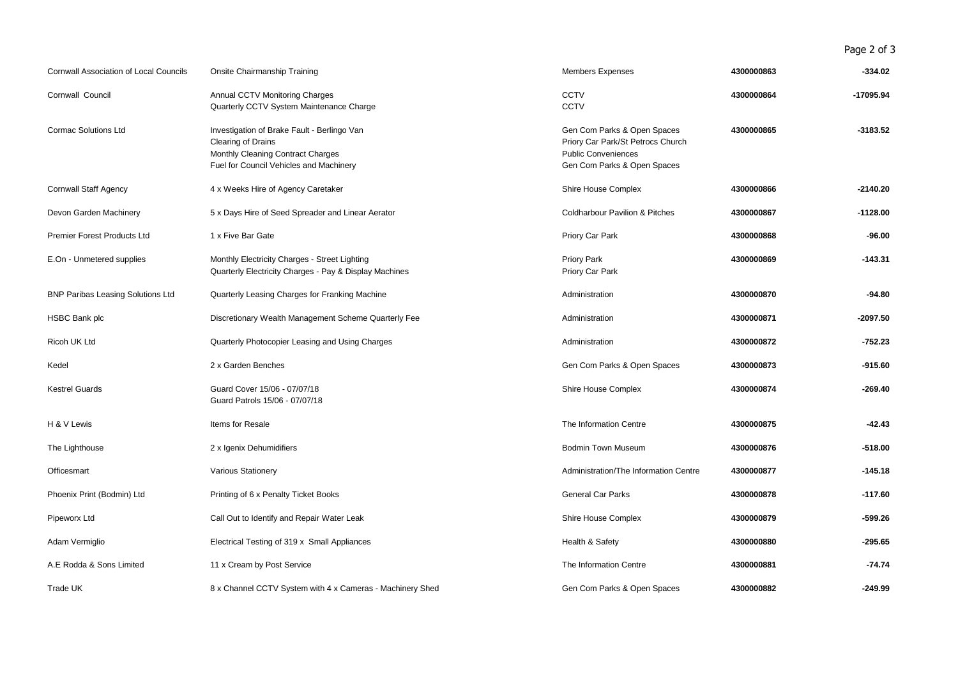Page 2 of 3

| <b>Cornwall Association of Local Councils</b> | Onsite Chairmanship Training                                                                                                                      | <b>Members Expenses</b>                                                                                                       | 4300000863 | $-334.02$  |
|-----------------------------------------------|---------------------------------------------------------------------------------------------------------------------------------------------------|-------------------------------------------------------------------------------------------------------------------------------|------------|------------|
| Cornwall Council                              | Annual CCTV Monitoring Charges<br>Quarterly CCTV System Maintenance Charge                                                                        | <b>CCTV</b><br><b>CCTV</b>                                                                                                    | 4300000864 | -17095.94  |
| <b>Cormac Solutions Ltd</b>                   | Investigation of Brake Fault - Berlingo Van<br>Clearing of Drains<br>Monthly Cleaning Contract Charges<br>Fuel for Council Vehicles and Machinery | Gen Com Parks & Open Spaces<br>Priory Car Park/St Petrocs Church<br><b>Public Conveniences</b><br>Gen Com Parks & Open Spaces | 4300000865 | $-3183.52$ |
| <b>Cornwall Staff Agency</b>                  | 4 x Weeks Hire of Agency Caretaker                                                                                                                | Shire House Complex                                                                                                           | 4300000866 | $-2140.20$ |
| Devon Garden Machinery                        | 5 x Days Hire of Seed Spreader and Linear Aerator                                                                                                 | <b>Coldharbour Pavilion &amp; Pitches</b>                                                                                     | 4300000867 | $-1128.00$ |
| Premier Forest Products Ltd                   | 1 x Five Bar Gate                                                                                                                                 | Priory Car Park                                                                                                               | 4300000868 | -96.00     |
| E.On - Unmetered supplies                     | Monthly Electricity Charges - Street Lighting<br>Quarterly Electricity Charges - Pay & Display Machines                                           | <b>Priory Park</b><br>Priory Car Park                                                                                         | 4300000869 | $-143.31$  |
| <b>BNP Paribas Leasing Solutions Ltd</b>      | Quarterly Leasing Charges for Franking Machine                                                                                                    | Administration                                                                                                                | 4300000870 | -94.80     |
| HSBC Bank plc                                 | Discretionary Wealth Management Scheme Quarterly Fee                                                                                              | Administration                                                                                                                | 4300000871 | -2097.50   |
| Ricoh UK Ltd                                  | Quarterly Photocopier Leasing and Using Charges                                                                                                   | Administration                                                                                                                | 4300000872 | $-752.23$  |
| Kedel                                         | 2 x Garden Benches                                                                                                                                | Gen Com Parks & Open Spaces                                                                                                   | 4300000873 | $-915.60$  |
| <b>Kestrel Guards</b>                         | Guard Cover 15/06 - 07/07/18<br>Guard Patrols 15/06 - 07/07/18                                                                                    | Shire House Complex                                                                                                           | 4300000874 | $-269.40$  |
| H & V Lewis                                   | Items for Resale                                                                                                                                  | The Information Centre                                                                                                        | 4300000875 | $-42.43$   |
| The Lighthouse                                | 2 x Igenix Dehumidifiers                                                                                                                          | <b>Bodmin Town Museum</b>                                                                                                     | 4300000876 | $-518.00$  |
| Officesmart                                   | <b>Various Stationery</b>                                                                                                                         | Administration/The Information Centre                                                                                         | 4300000877 | $-145.18$  |
| Phoenix Print (Bodmin) Ltd                    | Printing of 6 x Penalty Ticket Books                                                                                                              | <b>General Car Parks</b>                                                                                                      | 4300000878 | $-117.60$  |
| Pipeworx Ltd                                  | Call Out to Identify and Repair Water Leak                                                                                                        | Shire House Complex                                                                                                           | 4300000879 | $-599.26$  |
| Adam Vermiglio                                | Electrical Testing of 319 x Small Appliances                                                                                                      | Health & Safety                                                                                                               | 4300000880 | $-295.65$  |
| A.E Rodda & Sons Limited                      | 11 x Cream by Post Service                                                                                                                        | The Information Centre                                                                                                        | 4300000881 | $-74.74$   |
| Trade UK                                      | 8 x Channel CCTV System with 4 x Cameras - Machinery Shed                                                                                         | Gen Com Parks & Open Spaces                                                                                                   | 4300000882 | $-249.99$  |